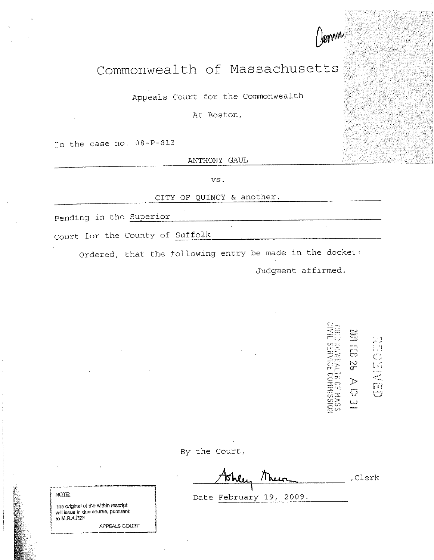

## Commonwealth of Massachusetts

Appeals Court for the Commonwealth

At Boston,

In the case no. 08-P-813

ANTHONY GAUL

*vs.* 

CITY OF QUINCY & another.

pending in the <u>Superior express that the superior</u>

Court for the County of Suffolk ------------------------

Ordered, that the following entry be made in the docket:

Judgment affirmed.

li<br>CD CENTER  $\frac{1}{6}$ E COMMISSII J>  $\overline{\bigcirc}$ w

By the Court,

,Clerk

|<br>| NOTE: | Date February 19, 2009.

The original of the within rescript will issue in due course, pursuant to M.AAP23

\_,;,PPEALS COURT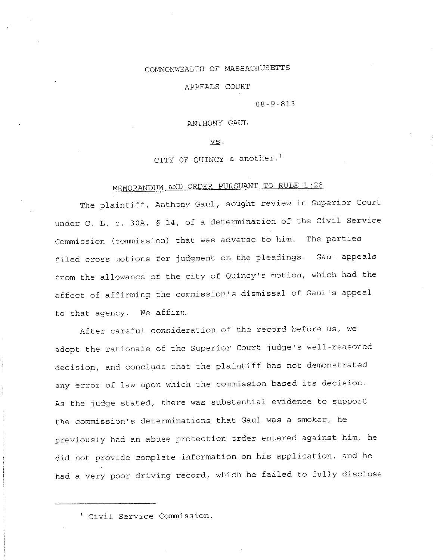## COMMONWEALTH OF MASSACHUSETTS

APPEALS COURT

08-P-813

ANTHONY GAUL

vs.

CITY OF QUINCY & another.'

## MEMORANDUM AND ORDER PURSUANT TO RULE 1:28

The plaintiff, Anthony Gaul, sought review in Superior Court under G. L. c. 30A, § 14, of a determination of the Civil Service Commission (commission) that was adverse to him. The parties filed cross motions for judgment on the pleadings. Gaul appeals from the allowance of the city of Quincy's motion, which had the effect of affirming the commission's dismissal of Gaul's appea<sup>l</sup> to that agency. We affirm.

After careful consideration of the record before us, we adopt the rationale of the Superior Court judge's well-reasoned decision, and conclude that the plaintiff has not demonstrated any error of law upon which the commission based its decision. As the judge stated, there was substantial evidence to suppor<sup>t</sup> the commission's determinations that Gaul was a smoker, he previously had an abuse protection order entered against him, he did not provide complete information on his application, and he had a very poor driving record, which he failed to fully disclose

<sup>&</sup>lt;sup>1</sup> Civil Service Commission.